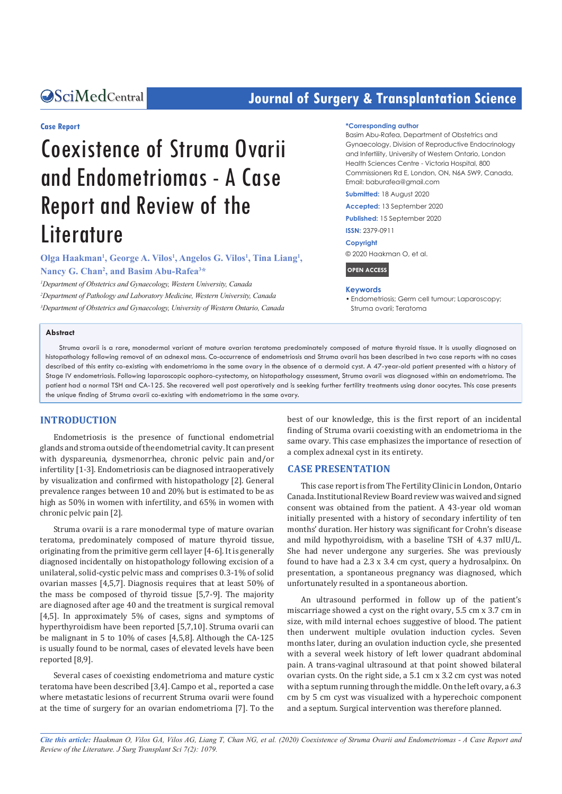## **CALCERT CONFIDENTIAL CONTRACT CONTRACT SCIENCE TRANSPORT OF SURFACT ATTENTION SCIENCE DETAILS ARE:**

#### **Case Report**

# Coexistence of Struma Ovarii and Endometriomas - A Case Report and Review of the **Literature**

Olga Haakman<sup>1</sup>, George A. Vilos<sup>1</sup>, Angelos G. Vilos<sup>1</sup>, Tina Liang<sup>1</sup>, **Nancy G. Chan2 , and Basim Abu-Rafea3 \***

*1 Department of Obstetrics and Gynaecology, Western University, Canada 2 Department of Pathology and Laboratory Medicine, Western University, Canada 3 Department of Obstetrics and Gynaecology, University of Western Ontario, Canada*

#### **\*Corresponding author**

Basim Abu-Rafea, Department of Obstetrics and Gynaecology, Division of Reproductive Endocrinology and Infertility, University of Western Ontario, London Health Sciences Centre - Victoria Hospital, 800 Commissioners Rd E, London, ON, N6A 5W9, Canada, Email: baburafea@gmail.com

**Submitted:** 18 August 2020

**Accepted:** 13 September 2020

**Published:** 15 September 2020

**ISSN:** 2379-0911

**Copyright**

© 2020 Haakman O, et al.

**OPEN ACCESS**

#### **Keywords**

• Endometriosis; Germ cell tumour; Laparoscopy; Struma ovarii; Teratoma

#### **Abstract**

Struma ovarii is a rare, monodermal variant of mature ovarian teratoma predominately composed of mature thyroid tissue. It is usually diagnosed on histopathology following removal of an adnexal mass. Co-occurrence of endometriosis and Struma ovarii has been described in two case reports with no cases described of this entity co-existing with endometrioma in the same ovary in the absence of a dermoid cyst. A 47-year-old patient presented with a history of Stage IV endometriosis. Following laparoscopic oophoro-cystectomy, on histopathology assessment, Struma ovarii was diagnosed within an endometrioma. The patient had a normal TSH and CA-125. She recovered well post operatively and is seeking further fertility treatments using donor oocytes. This case presents the unique finding of Struma ovarii co-existing with endometrioma in the same ovary.

#### **INTRODUCTION**

Endometriosis is the presence of functional endometrial glands and stroma outside of the endometrial cavity. It can present with dyspareunia, dysmenorrhea, chronic pelvic pain and/or infertility [1-3]. Endometriosis can be diagnosed intraoperatively by visualization and confirmed with histopathology [2]. General prevalence ranges between 10 and 20% but is estimated to be as high as 50% in women with infertility, and 65% in women with chronic pelvic pain [2].

Struma ovarii is a rare monodermal type of mature ovarian teratoma, predominately composed of mature thyroid tissue, originating from the primitive germ cell layer [4-6]. It is generally diagnosed incidentally on histopathology following excision of a unilateral, solid-cystic pelvic mass and comprises 0.3-1% of solid ovarian masses [4,5,7]. Diagnosis requires that at least 50% of the mass be composed of thyroid tissue [5,7-9]. The majority are diagnosed after age 40 and the treatment is surgical removal [4,5]. In approximately 5% of cases, signs and symptoms of hyperthyroidism have been reported [5,7,10]. Struma ovarii can be malignant in 5 to 10% of cases [4,5,8]. Although the CA-125 is usually found to be normal, cases of elevated levels have been reported [8,9].

Several cases of coexisting endometrioma and mature cystic teratoma have been described [3,4]. Campo et al., reported a case where metastatic lesions of recurrent Struma ovarii were found at the time of surgery for an ovarian endometrioma [7]. To the best of our knowledge, this is the first report of an incidental finding of Struma ovarii coexisting with an endometrioma in the same ovary. This case emphasizes the importance of resection of a complex adnexal cyst in its entirety.

#### **CASE PRESENTATION**

This case report is from The Fertility Clinic in London, Ontario Canada. Institutional Review Board review was waived and signed consent was obtained from the patient. A 43-year old woman initially presented with a history of secondary infertility of ten months' duration. Her history was significant for Crohn's disease and mild hypothyroidism, with a baseline TSH of 4.37 mIU/L. She had never undergone any surgeries. She was previously found to have had a 2.3 x 3.4 cm cyst, query a hydrosalpinx. On presentation, a spontaneous pregnancy was diagnosed, which unfortunately resulted in a spontaneous abortion.

An ultrasound performed in follow up of the patient's miscarriage showed a cyst on the right ovary, 5.5 cm x 3.7 cm in size, with mild internal echoes suggestive of blood. The patient then underwent multiple ovulation induction cycles. Seven months later, during an ovulation induction cycle, she presented with a several week history of left lower quadrant abdominal pain. A trans-vaginal ultrasound at that point showed bilateral ovarian cysts. On the right side, a 5.1 cm x 3.2 cm cyst was noted with a septum running through the middle. On the left ovary, a 6.3 cm by 5 cm cyst was visualized with a hyperechoic component and a septum. Surgical intervention was therefore planned.

*Cite this article: Haakman O, Vilos GA, Vilos AG, Liang T, Chan NG, et al. (2020) Coexistence of Struma Ovarii and Endometriomas - A Case Report and Review of the Literature. J Surg Transplant Sci 7(2): 1079.*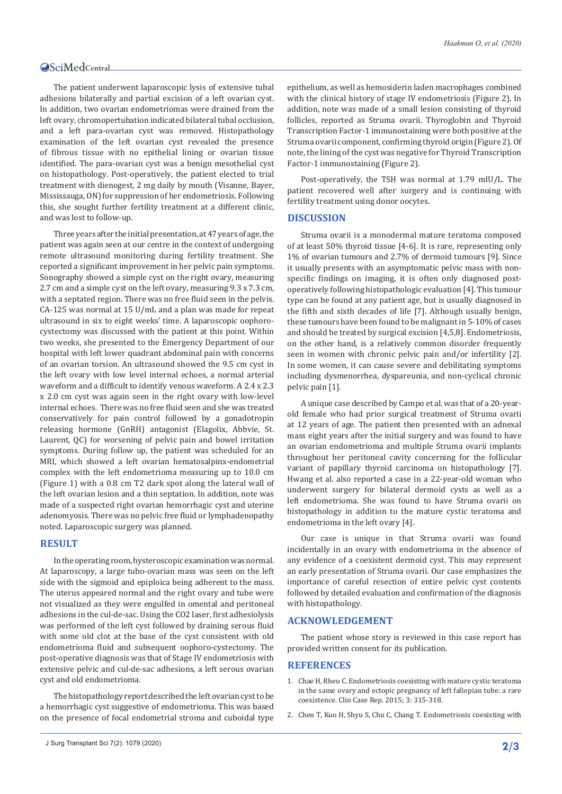The patient underwent laparoscopic lysis of extensive tubal adhesions bilaterally and partial excision of a left ovarian cyst. In addition, two ovarian endometriomas were drained from the left ovary, chromopertubation indicated bilateral tubal occlusion, and a left para-ovarian cyst was removed. Histopathology examination of the left ovarian cyst revealed the presence of fibrous tissue with no epithelial lining or ovarian tissue identified. The para-ovarian cyst was a benign mesothelial cyst on histopathology. Post-operatively, the patient elected to trial treatment with dienogest, 2 mg daily by mouth (Visanne, Bayer, Mississauga, ON) for suppression of her endometriosis. Following this, she sought further fertility treatment at a different clinic, and was lost to follow-up.

Three years after the initial presentation, at 47 years of age, the patient was again seen at our centre in the context of undergoing remote ultrasound monitoring during fertility treatment. She reported a significant improvement in her pelvic pain symptoms. Sonography showed a simple cyst on the right ovary, measuring 2.7 cm and a simple cyst on the left ovary, measuring 9.3 x 7.3 cm, with a septated region. There was no free fluid seen in the pelvis. CA-125 was normal at 15 U/mL and a plan was made for repeat ultrasound in six to eight weeks' time. A laparoscopic oophorocystectomy was discussed with the patient at this point. Within two weeks, she presented to the Emergency Department of our hospital with left lower quadrant abdominal pain with concerns of an ovarian torsion. An ultrasound showed the 9.5 cm cyst in the left ovary with low level internal echoes, a normal arterial waveform and a difficult to identify venous waveform. A 2.4 x 2.3 x 2.0 cm cyst was again seen in the right ovary with low-level internal echoes. There was no free fluid seen and she was treated conservatively for pain control followed by a gonadotropin releasing hormone (GnRH) antagonist (Elagolix, Abbvie, St. Laurent, QC) for worsening of pelvic pain and bowel irritation symptoms. During follow up, the patient was scheduled for an MRI, which showed a left ovarian hematosalpinx-endometrial complex with the left endometrioma measuring up to 10.0 cm (Figure 1) with a 0.8 cm T2 dark spot along the lateral wall of the left ovarian lesion and a thin septation. In addition, note was made of a suspected right ovarian hemorrhagic cyst and uterine adenomyosis. There was no pelvic free fluid or lymphadenopathy noted. Laparoscopic surgery was planned.

#### **RESULT**

In the operating room, hysteroscopic examination was normal. At laparoscopy, a large tubo-ovarian mass was seen on the left side with the sigmoid and epiploica being adherent to the mass. The uterus appeared normal and the right ovary and tube were not visualized as they were engulfed in omental and peritoneal adhesions in the cul-de-sac. Using the CO2 laser, first adhesiolysis was performed of the left cyst followed by draining serous fluid with some old clot at the base of the cyst consistent with old endometrioma fluid and subsequent oophoro-cystectomy. The post-operative diagnosis was that of Stage IV endometriosis with extensive pelvic and cul-de-sac adhesions, a left serous ovarian cyst and old endometrioma.

The histopathology report described the left ovarian cyst to be a hemorrhagic cyst suggestive of endometrioma. This was based on the presence of focal endometrial stroma and cuboidal type epithelium, as well as hemosiderin laden macrophages combined with the clinical history of stage IV endometriosis (Figure 2). In addition, note was made of a small lesion consisting of thyroid follicles, reported as Struma ovarii. Thyroglobin and Thyroid Transcription Factor-1 immunostaining were both positive at the Struma ovarii component, confirming thyroid origin (Figure 2). Of note, the lining of the cyst was negative for Thyroid Transcription Factor-1 immunostaining (Figure 2).

Post-operatively, the TSH was normal at 1.79 mIU/L. The patient recovered well after surgery and is continuing with fertility treatment using donor oocytes.

#### **DISCUSSION**

Struma ovarii is a monodermal mature teratoma composed of at least 50% thyroid tissue [4-6]. It is rare, representing only 1% of ovarian tumours and 2.7% of dermoid tumours [9]. Since it usually presents with an asymptomatic pelvic mass with nonspecific findings on imaging, it is often only diagnosed postoperatively following histopathologic evaluation [4]. This tumour type can be found at any patient age, but is usually diagnosed in the fifth and sixth decades of life [7]. Although usually benign, these tumours have been found to be malignant in 5-10% of cases and should be treated by surgical excision [4,5,8]. Endometriosis, on the other hand, is a relatively common disorder frequently seen in women with chronic pelvic pain and/or infertility [2]. In some women, it can cause severe and debilitating symptoms including dysmenorrhea, dyspareunia, and non-cyclical chronic pelvic pain [1].

A unique case described by Campo et al. was that of a 20-yearold female who had prior surgical treatment of Struma ovarii at 12 years of age. The patient then presented with an adnexal mass eight years after the initial surgery and was found to have an ovarian endometrioma and multiple Struma ovarii implants throughout her peritoneal cavity concerning for the follicular variant of papillary thyroid carcinoma on histopathology [7]. Hwang et al. also reported a case in a 22-year-old woman who underwent surgery for bilateral dermoid cysts as well as a left endometrioma. She was found to have Struma ovarii on histopathology in addition to the mature cystic teratoma and endometrioma in the left ovary [4].

Our case is unique in that Struma ovarii was found incidentally in an ovary with endometrioma in the absence of any evidence of a coexistent dermoid cyst. This may represent an early presentation of Struma ovarii. Our case emphasizes the importance of careful resection of entire pelvic cyst contents followed by detailed evaluation and confirmation of the diagnosis with histopathology.

#### **ACKNOWLEDGEMENT**

The patient whose story is reviewed in this case report has provided written consent for its publication.

#### **REFERENCES**

- 1. [Chae H, Rheu C. Endometriosis coexisting with mature cystic teratoma](https://pubmed.ncbi.nlm.nih.gov/25984312/)  [in the same ovary and ectopic pregnancy of left fallopian tube: a rare](https://pubmed.ncbi.nlm.nih.gov/25984312/)  [coexistence. Clin Case Rep. 2015; 3: 315-318.](https://pubmed.ncbi.nlm.nih.gov/25984312/)
- 2. [Chen T, Kuo H, Shyu S, Chu C, Chang T. Endometriosis coexisting with](https://pubmed.ncbi.nlm.nih.gov/21362294/)